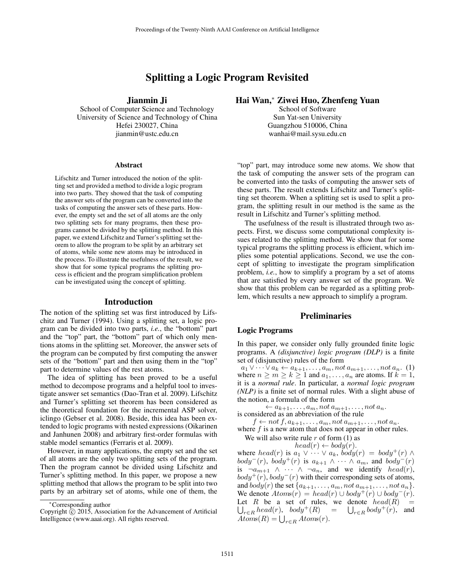# Splitting a Logic Program Revisited

Jianmin Ji

School of Computer Science and Technology University of Science and Technology of China Hefei 230027, China jianmin@ustc.edu.cn

#### Abstract

Lifschitz and Turner introduced the notion of the splitting set and provided a method to divide a logic program into two parts. They showed that the task of computing the answer sets of the program can be converted into the tasks of computing the answer sets of these parts. However, the empty set and the set of all atoms are the only two splitting sets for many programs, then these programs cannot be divided by the splitting method. In this paper, we extend Lifschitz and Turner's splitting set theorem to allow the program to be split by an arbitrary set of atoms, while some new atoms may be introduced in the process. To illustrate the usefulness of the result, we show that for some typical programs the splitting process is efficient and the program simplification problem can be investigated using the concept of splitting.

#### Introduction

The notion of the splitting set was first introduced by Lifschitz and Turner (1994). Using a splitting set, a logic program can be divided into two parts, *i.e.*, the "bottom" part and the "top" part, the "bottom" part of which only mentions atoms in the splitting set. Moreover, the answer sets of the program can be computed by first computing the answer sets of the "bottom" part and then using them in the "top" part to determine values of the rest atoms.

The idea of splitting has been proved to be a useful method to decompose programs and a helpful tool to investigate answer set semantics (Dao-Tran et al. 2009). Lifschitz and Turner's splitting set theorem has been considered as the theoretical foundation for the incremental ASP solver, iclingo (Gebser et al. 2008). Beside, this idea has been extended to logic programs with nested expressions (Oikarinen and Janhunen 2008) and arbitrary first-order formulas with stable model semantics (Ferraris et al. 2009).

However, in many applications, the empty set and the set of all atoms are the only two splitting sets of the program. Then the program cannot be divided using Lifschitz and Turner's splitting method. In this paper, we propose a new splitting method that allows the program to be split into two parts by an arbitrary set of atoms, while one of them, the

# Hai Wan,<sup>∗</sup> Ziwei Huo, Zhenfeng Yuan

School of Software Sun Yat-sen University Guangzhou 510006, China wanhai@mail.sysu.edu.cn

"top" part, may introduce some new atoms. We show that the task of computing the answer sets of the program can be converted into the tasks of computing the answer sets of these parts. The result extends Lifschitz and Turner's splitting set theorem. When a splitting set is used to split a program, the splitting result in our method is the same as the result in Lifschitz and Turner's splitting method.

The usefulness of the result is illustrated through two aspects. First, we discuss some computational complexity issues related to the splitting method. We show that for some typical programs the splitting process is efficient, which implies some potential applications. Second, we use the concept of splitting to investigate the program simplification problem, *i.e.*, how to simplify a program by a set of atoms that are satisfied by every answer set of the program. We show that this problem can be regarded as a splitting problem, which results a new approach to simplify a program.

# **Preliminaries**

### Logic Programs

In this paper, we consider only fully grounded finite logic programs. A *(disjunctive) logic program (DLP)* is a finite set of (disjunctive) rules of the form

 $a_1 \vee \cdots \vee a_k \leftarrow a_{k+1}, \ldots, a_m, \text{not } a_{m+1}, \ldots, \text{not } a_n.$  (1) where  $n \ge m \ge k \ge 1$  and  $a_1, \ldots, a_n$  are atoms. If  $k = 1$ , it is a *normal rule*. In particular, a *normal logic program (NLP)* is a finite set of normal rules. With a slight abuse of the notion, a formula of the form

 $\leftarrow a_{k+1}, \ldots, a_m, not a_{m+1}, \ldots, not a_n.$ is considered as an abbreviation of the rule

 $f \leftarrow not f, a_{k+1}, \ldots, a_m, not a_{m+1}, \ldots, not a_n.$ 

where  $f$  is a new atom that does not appear in other rules.

We will also write rule  $r$  of form  $(1)$  as  $head(r) \leftarrow body(r).$ 

where  $head(r)$  is  $a_1 \vee \cdots \vee a_k$ ,  $\overrightarrow{b}ody(r) = body^+(r) \wedge \overrightarrow{b}$  $body^-(r)$ ,  $body^+(r)$  is  $a_{k+1} \wedge \cdots \wedge a_m$ , and  $body^-(r)$ is  $\neg a_{m+1} \wedge \cdots \wedge \neg a_n$ , and we identify  $head(r)$ ,  $body^+(r)$ ,  $body^-(r)$  with their corresponding sets of atoms, and  $body(r)$  the set  $\{a_{k+1}, \ldots, a_m, not \, a_{m+1}, \ldots, not \, a_n\}.$ We denote  $Atoms(r) = head(r) \cup body^+(r) \cup body^-(r)$ . U Let R be a set of rules, we denote  $head(R)$  =  $r \in R \ head(r)$ ,  $body^+(R) = \bigcup_{r \in R} body^+(r)$ , and  $Atoms(R) = \bigcup_{r \in R} Atoms(r).$ 

<sup>∗</sup>Corresponding author

Copyright  $\hat{C}$  2015, Association for the Advancement of Artificial Intelligence (www.aaai.org). All rights reserved.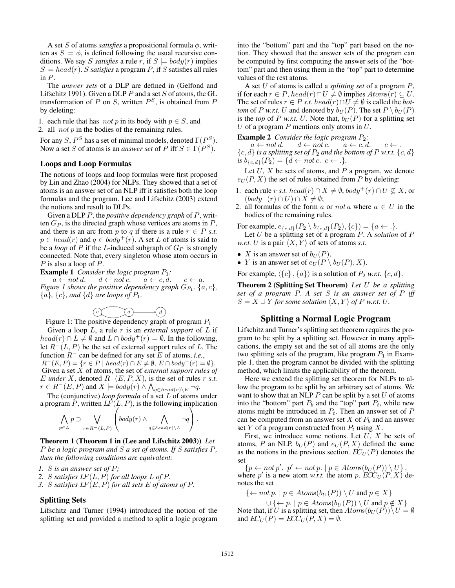A set S of atoms *satisfies* a propositional formula  $\phi$ , written as  $S \models \phi$ , is defined following the usual recursive conditions. We say *S satisfies* a rule r, if  $S \models body(r)$  implies  $S \models head(r)$ . *S satisfies* a program *P*, if *S* satisfies all rules in  $P$ .

The *answer sets* of a DLP are defined in (Gelfond and Lifschitz 1991). Given a DLP  $P$  and a set  $S$  of atoms, the GL transformation of P on S, written  $P^S$ , is obtained from P by deleting:

1. each rule that has *not* p in its body with  $p \in S$ , and

2. all *not*  $p$  in the bodies of the remaining rules.

For any S,  $P^S$  has a set of minimal models, denoted  $\Gamma(P^S)$ . Now a set S of atoms is an *answer set* of P iff  $S \in \Gamma(P^S)$ .

### Loops and Loop Formulas

The notions of loops and loop formulas were first proposed by Lin and Zhao (2004) for NLPs. They showed that a set of atoms is an answer set of an NLP iff it satisfies both the loop formulas and the program. Lee and Lifschitz (2003) extend the notions and result to DLPs.

Given a DLP P, the *positive dependency graph* of P, written  $G_P$ , is the directed graph whose vertices are atoms in  $P$ , and there is an arc from p to q if there is a rule  $r \in P$  *s.t.*  $p \in head(r)$  and  $q \in body^+(r)$ . A set L of atoms is said to be a *loop* of P if the L-induced subgraph of  $G_P$  is strongly connected. Note that, every singleton whose atom occurs in P is also a loop of P.

**Example 1** *Consider the logic program*  $P_1$ :<br> $a \leftarrow not d$ .  $d \leftarrow not c$ .  $a \leftarrow c, d$ .

 $d \leftarrow not c. \quad a \leftarrow c, d. \quad c \leftarrow a.$ *Figure 1 shows the positive dependency graph*  $G_{P_1}$ .  $\{a, c\}$ ,  ${a}$ ,  ${c}$ *, and*  ${d}$  *are loops of*  $P_1$ *.* 



Figure 1: The positive dependency graph of program  $P_1$ 

Given a loop  $L$ , a rule  $r$  is an *external support* of  $L$  if  $head(r) \cap L \neq \emptyset$  and  $L \cap body^{+}(r) = \emptyset$ . In the following, let  $R^{-}(L, P)$  be the set of external support rules of L. The function R<sup>−</sup> can be defined for any set E of atoms, *i.e.*,  $R^-(E, P) = \{r \in P \mid head(r) \cap E \neq \emptyset, E \cap body^+(r) = \emptyset\}.$ Given a set X of atoms, the set of *external support rules of* E *under* X, denoted  $R^{-}(E, P, X)$ , is the set of rules r *s.t.*  $r \in R^-(E, P)$  and  $X \models body(r) \land \bigwedge_{q \in head(r) \setminus E} \neg q.$ 

The (conjunctive) *loop formula* of a set L of atoms under a program P, written  $LF(L, P)$ , is the following implication

$$
\bigwedge_{p\in L} p \supset \bigvee_{r\in R^-(L,P)} \left(body(r) \wedge \bigwedge_{q\in head(r)\setminus L} \neg q\right).
$$

Theorem 1 (Theorem 1 in (Lee and Lifschitz 2003)) *Let* P *be a logic program and* S *a set of atoms. If* S *satisfies* P*, then the following conditions are equivalent:*

*1.* S *is an answer set of* P*;*

*2.* S *satisfies* LF(L, P) *for all loops* L *of* P*.*

*3.* S *satisfies* LF(E, P) *for all sets* E *of atoms of* P*.*

# Splitting Sets

Lifschitz and Turner (1994) introduced the notion of the splitting set and provided a method to split a logic program

into the "bottom" part and the "top" part based on the notion. They showed that the answer sets of the program can be computed by first computing the answer sets of the "bottom" part and then using them in the "top" part to determine values of the rest atoms.

A set U of atoms is called a *splitting set* of a program P, if for each  $r \in P$ , head(r) ∩  $U \neq \emptyset$  implies  $Atoms(r) \subseteq U$ . The set of rules  $r \in P$  *s.t.* head(r) ∩  $U \neq \emptyset$  is called the *bottom* of P *w.r.t.* U and denoted by  $b_U(P)$ . The set  $P \setminus b_U(P)$ is the *top* of P *w.r.t.* U. Note that,  $b_U(P)$  for a splitting set U of a program  $P$  mentions only atoms in  $U$ .

**Example 2** *Consider the logic program*  $P_2$ :<br> $a \leftarrow not d$ .<br> $d \leftarrow not c$ .<br> $a \leftarrow c, d$ .

 $d \leftarrow not c. \quad a \leftarrow c, d. \quad c \leftarrow$ .  ${c, d}$  *is a splitting set of*  $P_2$  *and the bottom of*  $P$  *w.r.t.*  ${c, d}$ *is*  $b_{\lbrace c,d \rbrace}(P_2) = \lbrace d \leftarrow not \, c. \, c \leftarrow . \rbrace.$ 

Let  $U, X$  be sets of atoms, and  $P$  a program, we denote  $e_U(P, X)$  the set of rules obtained from P by deleting:

- 1. each rule *r s.t.* head(*r*)  $\cap X \neq \emptyset$ , body<sup>+</sup>(*r*)  $\cap U \not\subseteq X$ , or  $(body^{-}(r) \cap U) \cap X \neq \emptyset;$
- 2. all formulas of the form a or not a where  $a \in U$  in the bodies of the remaining rules.

For example,  $e_{\{c,d\}}(P_2 \setminus b_{\{c,d\}}(P_2), \{c\}) = \{a \leftarrow .\}.$ 

Let U be a splitting set of a program P. A *solution* of P *w.r.t.* U is a pair  $\langle X, Y \rangle$  of sets of atoms *s.t.* 

- X is an answer set of  $b_U(P)$ ,
- Y is an answer set of  $e_U(P \setminus b_U(P), X)$ .

For example,  $\langle \{c\}, \{a\} \rangle$  is a solution of  $P_2$  *w.r.t.*  $\{c, d\}$ .

Theorem 2 (Splitting Set Theorem) *Let* U *be a splitting set of a program* P*. A set* S *is an answer set of* P *iff*  $S = X \cup Y$  *for some solution*  $\langle X, Y \rangle$  *of* P *w.r.t.* U.

### Splitting a Normal Logic Program

Lifschitz and Turner's splitting set theorem requires the program to be split by a splitting set. However in many applications, the empty set and the set of all atoms are the only two splitting sets of the program, like program  $P_1$  in Example 1, then the program cannot be divided with the splitting method, which limits the applicability of the theorem.

Here we extend the splitting set theorem for NLPs to allow the program to be split by an arbitrary set of atoms. We want to show that an NLP  $P$  can be split by a set  $U$  of atoms into the "bottom" part  $P_b$  and the "top" part  $P_t$ , while new atoms might be introduced in  $P_t$ . Then an answer set of  $P$ can be computed from an answer set X of  $P_b$  and an answer set Y of a program constructed from  $P_t$  using X.

First, we introduce some notions. Let  $U, X$  be sets of atoms, P an NLP,  $b_U(P)$  and  $e_U(P, X)$  defined the same as the notions in the previous section.  $EC_U(P)$  denotes the set

 $\{p \leftarrow not p'. \ p' \leftarrow not p. \mid p \in Atoms(b_U(P)) \setminus U\},\$ where p' is a new atom w.r.t. the atom p.  $\text{ECC}_{U}(P, X)$  denotes the set

 $\{\leftarrow not\ p.\mid p\in Atoms(b_U(P))\setminus U \text{ and } p\in X\}$ 

 $\cup \{\leftarrow p. \mid p \in Atoms(b_U(P)) \setminus U \text{ and } p \notin X\}$ Note that, if U is a splitting set, then  $Atoms(b_U(P))\setminus U = \emptyset$ and  $EC_U(P) = ECU_U(P, X) = \emptyset$ .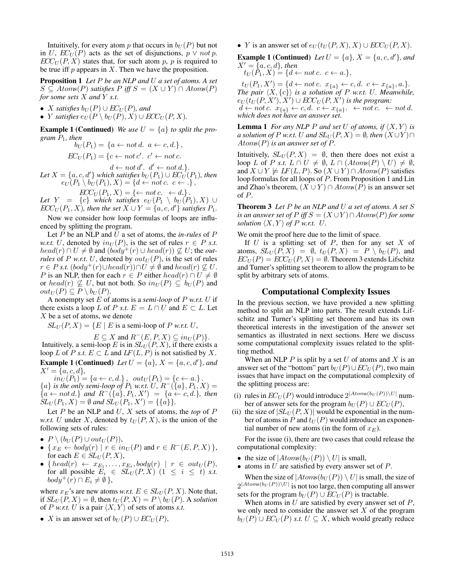Intuitively, for every atom p that occurs in  $b_U(P)$  but not in U,  $EC_U(P)$  acts as the set of disjunctions,  $p \vee not p$ .  $ECC_U(P, X)$  states that, for such atom p, p is required to be true iff  $p$  appears in  $X$ . Then we have the proposition.

Proposition 1 *Let* P *be an NLP and* U *a set of atoms. A set*  $S \subseteq Atoms(P)$  *satisfies*  $P$  *iff*  $S = (X \cup Y) \cap Atoms(P)$ *for some sets* X *and* Y *s.t.*

- *X satisfies*  $b_U(P) \cup EC_U(P)$ *, and*
- *Y satisfies*  $e_U(P \setminus b_U(P), X) \cup ECC_U(P, X)$ .

**Example 1 (Continued)** *We use*  $U = \{a\}$  *to split the program* P1*, then*

$$
b_U(P_1) = \{a \leftarrow not d. \ a \leftarrow c, d.\},
$$

$$
EC_U(P_1) = \{c \leftarrow not c'. \ c' \leftarrow not c.
$$

 $d \leftarrow not d'. d' \leftarrow not d.$  $Let X = {a, c, d'}$  *which satisfies*  $b_U(P_1) \cup EC_U(P_1)$ *, then*  $e_U(P_1 \setminus b_U(P_1), X) = \{d \leftarrow not \, c. \, c \leftarrow .\},$ 

$$
ECC_U(P_1, X) = \{ \leftarrow not \ c. \ \leftarrow d. \}.
$$

 $\emph{Let } \;\; Y \;\; = \;\; \{c\} \;\; \emph{which satisfies } \;\; e_U (P_1 \;\setminus\; b_U (P_1), X) \;\cup\;$  $ECC_U(P_1, X)$ , then the set  $X \cup Y = \{a, c, d'\}$  satisfies  $P_1$ .

Now we consider how loop formulas of loops are influenced by splitting the program.

Let P be an NLP and U a set of atoms, the *in-rules* of P *w.r.t.* U, denoted by  $in_U(P)$ , is the set of rules  $r \in P$  *s.t.*  $head(r) \cap U \neq \emptyset$  and  $(body^+(r) \cup head(r)) \nsubseteq U$ ; the *outrules* of P *w.r.t.* U, denoted by  $out_U(P)$ , is the set of rules  $r \in P$  *s.t.*  $(body^+(r) \cup head(r)) \cap U \neq \emptyset$  and  $head(r) \nsubseteq U$ . P is an NLP, then for each  $r \in P$  either  $head(r) \cap U \neq \emptyset$ or  $head(r) \nsubseteq U$ , but not both. So  $in_U(P) \subseteq b_U(P)$  and  $out_U(P) \subseteq P \setminus b_U(P)$ .

A nonempty set E of atoms is a *semi-loop* of P *w.r.t.* U if there exists a loop L of P *s.t.*  $E = L \cap U$  and  $E \subset L$ . Let X be a set of atoms, we denote

 $SL_U(P, X) = \{E \mid E \text{ is a semi-loop of } P \text{ w.r.t. } U,$ 

 $E \subseteq X$  and  $R^-(E, P, X) \subseteq in_U(P)$ . Intuitively, a semi-loop E is in  $SL_U(P, X)$ , if there exists a loop L of P *s.t.*  $E \subset L$  and  $LF(L, P)$  is not satisfied by X. **Example 1 (Continued)** Let  $U = \{a\}$ ,  $X = \{a, c, d'\}$ , and  $X' = \{a, c, d\},\$ 

 $in_U(P_1) = \{a \leftarrow c, d.\}, \quad out_U(P_1) = \{c \leftarrow a.\}.$  ${a}$  *is the only semi-loop of*  $P_1$  *w.r.t.*  $\overline{U}$ ,  $R^{-}(\{a\}, P_1, X) =$  ${a \leftarrow not d.}$  *and*  $R^{-}(\lbrace a \rbrace, P_1, X') = \lbrace a \leftarrow c, d. \rbrace$ *, then*  $\hat{SL}_U(P_1, X) = \emptyset$  and  $\hat{SL}_U(P_1, X') = \{\{a\}\}.$ 

Let P be an NLP and U, X sets of atoms, the *top* of P *w.r.t.* U under X, denoted by  $t_U(P, X)$ , is the union of the following sets of rules:

- $P \setminus (b_U(P) \cup out_U(P)),$
- { $x_E \leftarrow body(r) \mid r \in in_U(P)$  and  $r \in R^-(E, P, X)$  }, for each  $E \in SL_U(P, X)$ ,
- { $\text{head}(r) \leftarrow x_{E_1}, \dots, x_{E_t}, \text{body}(r) \mid r \in \text{out}_U(P),$ for all possible  $E_i \in SL_U(P,X)$   $(1 \leq i \leq t)$  *s.t.*  $body^+(r) \cap E_i \neq \emptyset$ ,

where  $x_E$ 's are new atoms *w.r.t.*  $E \in SL_U(P, X)$ . Note that, if  $SL_U(P, X) = \emptyset$ , then  $t_U(P, X) = P \setminus b_U(P)$ . A *solution* of *P w.r.t. U* is a pair  $\langle X, Y \rangle$  of sets of atoms *s.t.* 

• X is an answer set of  $b_U(P) \cup EC_U(P)$ ,

• Y is an answer set of  $e_U(t_U(P, X), X) \cup ECC_U(P, X)$ .

**Example 1 (Continued)** Let  $U = \{a\}$ ,  $X = \{a, c, d'\}$ , and  $X' = \{a, c, d\}$ , then

 $t_U(\tilde{P}_1, X) = \{d \leftarrow not \, c. \, c \leftarrow a.\},$ 

 $t_U(P_1, X') = \{d \leftarrow not \, c. \, x_{\{a\}} \leftarrow c, d. \, c \leftarrow x_{\{a\}}, a.\}.$ *The pair*  $\langle X, \{c\}\rangle$  *is a solution of* P *w.r.t.* U. Meanwhile,  $e_U(t_U(P,X'),\tilde{X'})\cup ECC_U(P,X')$  is the program:  $d \leftarrow not \, c. \, x_{\{a\}} \leftarrow c, d. \, c \leftarrow x_{\{a\}}. \leftarrow not \, c. \leftarrow not \, d.$ *which does not have an answer set.*

**Lemma 1** *For any NLP P and set U of atoms, if*  $\langle X, Y \rangle$  *is a solution of* P *w.r.t.* U *and*  $SL_U(P, X) = \emptyset$ *, then*  $(X \cup Y) \cap$ Atoms(P) *is an answer set of* P*.*

Intuitively,  $SL_U(P, X) = \emptyset$ , then there does not exist a loop L of P *s.t.*  $L \cap U \neq \emptyset$ ,  $L \cap (Atoms(P) \setminus U) \neq \emptyset$ , and  $X \cup Y \not\models LF(L, P)$ . So  $(X \cup Y) \cap Atoms(P)$  satisfies loop formulas for all loops of P. From Proposition 1 and Lin and Zhao's theorem,  $(X \cup Y) \cap Atoms(P)$  is an answer set of P.

Theorem 3 *Let* P *be an NLP and* U *a set of atoms. A set* S *is an answer set of*  $P$  *iff*  $S = (X \cup Y) \cap Atoms(P)$  *for some solution*  $\langle X, Y \rangle$  *of* P *w.r.t.* U.

We omit the proof here due to the limit of space.

If  $U$  is a splitting set of  $P$ , then for any set  $X$  of atoms,  $SL_U(P, X) = \emptyset$ ,  $t_U(P, X) = P \setminus b_U(P)$ , and  $EC_U(P) = ECC_U(P, X) = \emptyset$ . Theorem 3 extends Lifschitz and Turner's splitting set theorem to allow the program to be split by arbitrary sets of atoms.

#### Computational Complexity Issues

In the previous section, we have provided a new splitting method to split an NLP into parts. The result extends Lifschitz and Turner's splitting set theorem and has its own theoretical interests in the investigation of the answer set semantics as illustrated in next sections. Here we discuss some computational complexity issues related to the splitting method.

When an NLP  $P$  is split by a set  $U$  of atoms and  $X$  is an answer set of the "bottom" part  $b_U(P) \cup EC_U(P)$ , two main issues that have impact on the computational complexity of the splitting process are:

- (i) rules in  $EC_U(P)$  would introduce  $2^{|Atoms(b_U(P))\setminus U|}$  number of answer sets for the program  $b_U(P) \cup EC_U(P)$ ,
- (ii) the size of  $|SL_U(P, X)|$  would be exponential in the number of atoms in P and  $t_U(P)$  would introduce an exponential number of new atoms (in the form of  $x_E$ ).

For the issue (i), there are two cases that could release the computational complexity:

- the size of  $|Atoms(b_U(P)) \setminus U|$  is small,
- atoms in  $U$  are satisfied by every answer set of  $P$ .

When the size of  $|Atoms(b_U(P)) \setminus U|$  is small, the size of  $2^{|Atoms(b_U(P))\setminus U|}$  is not too large, then computing all answer sets for the program  $b_U(P) \cup EC_U(P)$  is tractable.

When atoms in  $U$  are satisfied by every answer set of  $P$ , we only need to consider the answer set  $X$  of the program  $b_U(P) \cup EC_U(P)$  *s.t.*  $U \subseteq X$ , which would greatly reduce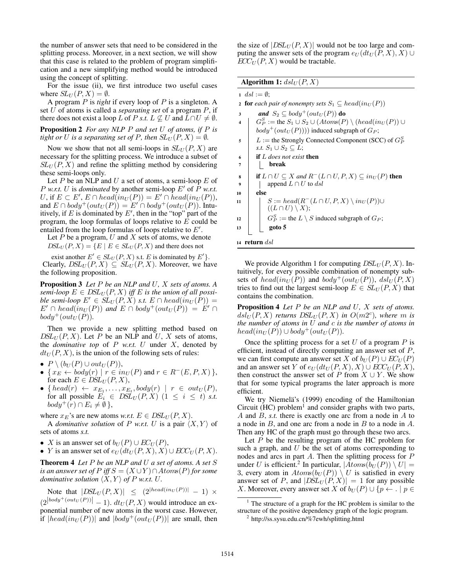the number of answer sets that need to be considered in the splitting process. Moreover, in a next section, we will show that this case is related to the problem of program simplification and a new simplifying method would be introduced using the concept of splitting.

For the issue (ii), we first introduce two useful cases where  $SL_U(P, X) = \emptyset$ .

A program P is *tight* if every loop of P is a singleton. A set U of atoms is called a *separating set* of a program P, if there does not exist a loop L of P *s.t.*  $L \nsubseteq U$  and  $L \cap U \neq \emptyset$ .

Proposition 2 *For any NLP* P *and set* U *of atoms, if* P *is tight or* U *is a separating set of* P, then  $SL_U(P, X) = \emptyset$ .

Now we show that not all semi-loops in  $SL<sub>U</sub>(P, X)$  are necessary for the splitting process. We introduce a subset of  $SL<sub>U</sub>(P, X)$  and refine the splitting method by considering these semi-loops only.

Let  $P$  be an NLP and  $U$  a set of atoms, a semi-loop  $E$  of P *w.r.t.* U is *dominated* by another semi-loop  $E'$  of P *w.r.t.* U, if  $E \subset E'$ ,  $E \cap head(in_U(P)) = E' \cap head(in_U(P)),$ and  $E \cap body^+(out_U(P)) = E' \cap body^+(out_U(P))$ . Intuitively, if E is dominated by  $E'$ , then in the "top" part of the program, the loop formulas of loops relative to E could be entailed from the loop formulas of loops relative to  $E'$ .

Let  $P$  be a program,  $U$  and  $X$  sets of atoms, we denote  $DSL_U(P, X) = \{E \mid E \in SL_U(P, X) \text{ and there does not} \}$ 

exist another  $E' \in SL_U(P, X)$  s.t. E is dominated by  $E'$ . Clearly,  $DSL_U(P, X) \subseteq SL_U(P, X)$ . Moreover, we have the following proposition.

Proposition 3 *Let* P *be an NLP and* U*,* X *sets of atoms. A*  $semi-loop E \in \text{DSL}_{\text{U}}(P, X)$  *iff* E *is the union of all possible semi-loop*  $E' \in SL_U(P, X)$  *s.t.*  $E \cap head(in_U(P)) =$  $E' \cap \text{head}(in_U (P))$  and  $E \cap \text{body}^+ (\text{out}_U (P)) = E' \cap$  $body^+(out_U(P))$ .

Then we provide a new splitting method based on  $DSL_U(P, X)$ . Let P be an NLP and U, X sets of atoms, the *dominative top* of  $P$  *w.r.t.*  $U$  under  $X$ , denoted by  $dt_U(P, X)$ , is the union of the following sets of rules:

- $P \setminus (b_U(P) \cup out_U(P)),$
- { $x_E \leftarrow body(r) \mid r \in inv(P)$  and  $r \in R^-(E, P, X)$  }, for each  $E \in \text{DSL}_U(P, X)$ ,
- { $head(r) \leftarrow x_{E_1}, \ldots, x_{E_t}, body(r) \mid r \in out_U(P),$ for all possible  $E_i \in \text{DSL}_U(P, X)$   $(1 \leq i \leq t)$  *s.t.*  $body^+(r) \cap E_i \neq \emptyset$ ,

where  $x_E$ 's are new atoms *w.r.t.*  $E \in \text{DSL}_U(P, X)$ .

A *dominative solution* of P *w.r.t.* U is a pair  $\langle X, Y \rangle$  of sets of atoms *s.t.*

- X is an answer set of  $b_U(P) \cup EC_U(P)$ ,
- Y is an answer set of  $e_U(dt_U(P,X), X) \cup ECC_U(P,X)$ .

Theorem 4 *Let* P *be an NLP and* U *a set of atoms. A set* S *is an answer set of*  $P$  *iff*  $S = (X \cup Y) \cap Atoms(P)$  *for some dominative solution*  $\langle X, Y \rangle$  *of* P *w.r.t.* U.

Note that  $|DSL_U(P, X)| \leq (2^{|head(in_U(P))|} - 1) \times$ 

 $(|2|^{body^+(out_U(P))}| - 1)$ .  $dt_U(P, X)$  would introduce an exponential number of new atoms in the worst case. However, if  $|head(in_U(P))|$  and  $|body^+(out_U(P))|$  are small, then the size of  $|DSL_U(P, X)|$  would not be too large and computing the answer sets of the program  $e_U(dt_U(P, X), X) \cup$  $ECC_U(P, X)$  would be tractable.

# Algorithm 1:  $dsl_U(P, X)$

 $1 \; dsl := \emptyset;$ 

2 **for** each pair of nonempty sets  $S_1 \subseteq head(in_U(P))$ 

- 3 **and**  $S_2 \subset \text{body}^+(\text{out}_U(P))$  do
- 4  $\mid G_P^S :=$  the  $S_1 \cup S_2 \cup (Atoms(P) \setminus (head(in_U(P)) \cup$  $body^+(out_U(P)))$  induced subgraph of  $G_P$ ;
- $5 \mid L :=$  the Strongly Connected Component (SCC) of  $G_F^S$ *s.t.*  $S_1 \cup S_2 \subseteq L$ ;
- <sup>6</sup> if L *does not exist* then <sup>7</sup> break

**s if**  $L \cap U \subseteq X$  and  $R^{-}(L \cap U, P, X) \subseteq in_{U}(P)$  then

9 | append 
$$
L \cap U
$$
 to  $\overline{ds}$ 

<sup>10</sup> else  $11 \quad | \quad S := head(R^-(L \cap U, P, X) \setminus in_U(P)) \cup$  $((L \cap U) \setminus X);$ 12  $\begin{array}{|c|c|c|} \hline \end{array}$   $\begin{array}{|c|c|c|} \hline G_P^S := \text{the } L \setminus S \text{ induced subgraph of } G_P; \hline \end{array}$  $_{13}$  |  $_{\text{goto 5}}$ 

$$
14 return dsl
$$

We provide Algorithm 1 for computing  $DSL_U(P, X)$ . Intuitively, for every possible combination of nonempty subsets of  $head(in_U(P))$  and  $body^+(out_U(P))$ ,  $dsl_U(P, X)$ tries to find out the largest semi-loop  $E \in SL_{U}(P, X)$  that contains the combination.

Proposition 4 *Let* P *be an NLP and* U*,* X *sets of atoms.*  $dsd_{U}(P, X)$  returns  $DSL_{U}(P, X)$  in  $O(m2^{c})$ , where m is *the number of atoms in* U *and* c *is the number of atoms in*  $head(in_U(P)) \cup body^+(out_U(P)).$ 

Once the splitting process for a set  $U$  of a program  $P$  is efficient, instead of directly computing an answer set of P, we can first compute an answer set X of  $b_U(P) \cup EC_U(P)$ and an answer set Y of  $e_U(dt_U(P, X), X) \cup ECC_U(P, X)$ , then construct the answer set of P from  $X \cup Y$ . We show that for some typical programs the later approach is more efficient.

We try Niemelä's (1999) encoding of the Hamiltonian Circuit  $(HC)$  problem<sup>1</sup> and consider graphs with two parts, A and B, *s.t.* there is exactly one arc from a node in A to a node in  $B$ , and one arc from a node in  $B$  to a node in  $A$ . Then any HC of the graph must go through these two arcs.

Let  $P$  be the resulting program of the HC problem for such a graph, and  $U$  be the set of atoms corresponding to nodes and arcs in part A. Then the splitting process for P under U is efficient.<sup>2</sup> In particular,  $|\widetilde{Atoms(b_U(P))} \setminus U|$  = 3, every atom in  $Atoms(b_U(P)) \setminus U$  is satisfied in every answer set of P, and  $|DSL_U(P, X)| = 1$  for any possible X. Moreover, every answer set X of  $b_U(P) \cup \{p \leftarrow . \mid p \in$ 

 $<sup>1</sup>$  The structure of a graph for the HC problem is similar to the</sup> structure of the positive dependency graph of the logic program.

<sup>&</sup>lt;sup>2</sup> http://ss.sysu.edu.cn/%7ewh/splitting.html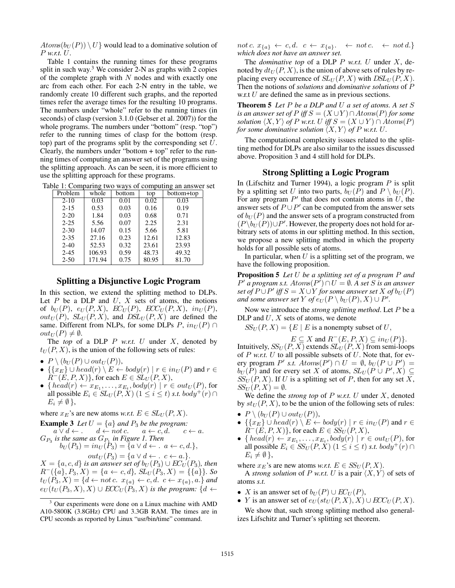$Atoms(b_U(P)) \setminus U$  would lead to a dominative solution of P *w.r.t.* U.

Table 1 contains the running times for these programs split in such way.<sup>3</sup> We consider 2-N as graphs with 2 copies of the complete graph with  $N$  nodes and with exactly one arc from each other. For each 2-N entry in the table, we randomly create 10 different such graphs, and the reported times refer the average times for the resulting 10 programs. The numbers under "whole" refer to the running times (in seconds) of clasp (version 3.1.0 (Gebser et al. 2007)) for the whole programs. The numbers under "bottom" (resp. "top") refer to the running times of clasp for the bottom (resp. top) part of the programs split by the corresponding set  $U$ . Clearly, the numbers under "bottom + top" refer to the running times of computing an answer set of the programs using the splitting approach. As can be seen, it is more efficient to use the splitting approach for these programs.

Table 1: Comparing two ways of computing an answer set

| Problem           | whole  | bottom | top   | bottom+top |
|-------------------|--------|--------|-------|------------|
| $\overline{2-10}$ | 0.03   | 0.01   | 0.02  | 0.03       |
| $2 - 15$          | 0.53   | 0.03   | 0.16  | 0.19       |
| $2 - 20$          | 1.84   | 0.03   | 0.68  | 0.71       |
| $2 - 25$          | 5.56   | 0.07   | 2.25  | 2.31       |
| $2 - 30$          | 14.07  | 0.15   | 5.66  | 5.81       |
| $2 - 35$          | 27.16  | 0.23   | 12.61 | 12.83      |
| $2 - 40$          | 52.53  | 0.32   | 23.61 | 23.93      |
| $2 - 45$          | 106.93 | 0.59   | 48.73 | 49.32      |
| $2 - 50$          | 171.94 | 0.75   | 80.95 | 81.70      |

# Splitting a Disjunctive Logic Program

In this section, we extend the splitting method to DLPs. Let  $P$  be a DLP and  $U$ ,  $X$  sets of atoms, the notions of  $b_U(P)$ ,  $e_U(P, X)$ ,  $EC_U(P)$ ,  $ECC_U(P, X)$ ,  $in_U(P)$ ,  $out_U(P)$ ,  $SL_U(P, X)$ , and  $DSL_U(P, X)$  are defined the same. Different from NLPs, for some DLPs  $P$ ,  $in_U(P)$  ∩  $out_U(P) \neq \emptyset$ .

The *top* of a DLP P *w.r.t.* U under X, denoted by  $t_U(P, X)$ , is the union of the following sets of rules:

- $P \setminus (b_U(P) \cup out_U(P)),$
- $\{ \{x_E\} \cup head(r) \setminus E \leftarrow body(r) \mid r \in in_U(P) \text{ and } r \in E\}$  $R^{-}(E, P, X)$ , for each  $E \in SL_{U}(P, X)$ ,
- { $head(r) \leftarrow x_{E_1}, \ldots, x_{E_t}, body(r) \mid r \in out_U(P)$ , for all possible  $E_i \in SL_U(P,X)$   $(1 \leq i \leq t)$  *s.t.* body<sup>+</sup> $(r) \cap$  $E_i \neq \emptyset$ ,

where  $x_E$ 's are new atoms *w.r.t.*  $E \in SL_{U}(P, X)$ .

**Example 3** Let 
$$
U = \{a\}
$$
 and  $P_3$  be the program:  
\n $a \lor d \leftarrow$   $d \leftarrow$  not  $c$ .  $a \leftarrow c, d$ .  $c \leftarrow a$ .  
\n $G_{P_3}$  is the same as  $G_{P_1}$  in Figure 1. Then  
\n $b_U(P_3) = in_U(P_3) = \{a \lor d \leftarrow . a \leftarrow c, d.\}$ ,  
\n $out_U(P_3) = \{a \lor d \leftarrow . c \leftarrow a.\}$ .

 $X = \{a, c, d\}$  *is an answer set of*  $b_U(P_3) \cup EC_U(P_3)$ *, then*  $R^{-}(\{a\}, P_3, X) = \{a \leftarrow c, d\}, SL_U(P_3, X) = \{\{a\}\}.$  So  $t_U(P_3, X) = \{d \leftarrow not \, c. \, x_{\{a\}} \leftarrow c, d. \, c \leftarrow x_{\{a\}}, a.\}$  and  $e_U(t_U(P_3, X), X) \cup ECC_U(P_3, X)$  *is the program:*  $\{d \leftarrow$ 

not c.  $x_{\{a\}} \leftarrow c, d. \quad c \leftarrow x_{\{a\}}. \quad \leftarrow not \, c. \quad \leftarrow not \, d.$ *which does not have an answer set.*

The *dominative top* of a DLP P *w.r.t.* U under X, denoted by  $dt_U(P, X)$ , is the union of above sets of rules by replacing every occurrence of  $SL_U(P, X)$  with  $DSL_U(P, X)$ . Then the notions of *solutions* and *dominative solutions* of P w.r.t U are defined the same as in previous sections.

Theorem 5 *Let* P *be a DLP and* U *a set of atoms. A set* S *is an answer set of*  $P$  *iff*  $S = (X \cup Y) \cap Atoms(P)$  *for some solution*  $\langle X, Y \rangle$  *of* P *w.r.t.* U *iff*  $S = (X \cup Y) \cap Atoms(P)$ *for some dominative solution*  $\langle X, Y \rangle$  *of* P *w.r.t.* U.

The computational complexity issues related to the splitting method for DLPs are also similar to the issues discussed above. Proposition 3 and 4 still hold for DLPs.

### Strong Splitting a Logic Program

In (Lifschitz and Turner 1994), a logic program  $P$  is split by a splitting set U into two parts,  $b_U(P)$  and  $P \setminus b_U(P)$ . For any program  $P'$  that does not contain atoms in  $U$ , the answer sets of  $P \cup P'$  can be computed from the answer sets of  $b_U(P)$  and the answer sets of a program constructed from  $(P \setminus b_U(P)) \cup P'$ . However, the property does not hold for arbitrary sets of atoms in our splitting method. In this section, we propose a new splitting method in which the property holds for all possible sets of atoms.

In particular, when  $U$  is a splitting set of the program, we have the following proposition.

Proposition 5 *Let* U *be a splitting set of a program* P *and*  $P'$  *a program s.t.*  $Atoms(P') \cap U = \emptyset$ . A set S is an answer  $\mathop{\rm set}\nolimits$  of  $P\mathop{\cup}\nolimits P'$  iff  $S=X\mathop{\cup}\nolimits Y$  for some answer set  $X$  of  $b_U(P)$ *and some answer set* Y of  $e_U(P \setminus b_U(P), X) \cup P'$ .

Now we introduce the *strong splitting method*. Let P be a DLP and  $U, X$  sets of atoms, we denote

 $SS_U(P, X) = \{E \mid E \text{ is a nonempty subset of } U,$ 

 $E \subseteq X$  and  $R^-(E, P, X) \subseteq in_U(P)$ . Intuitively,  $SS_U(P, X)$  extends  $SL_U(P, X)$  from semi-loops of  $P$  *w.r.t.*  $U$  to all possible subsets of  $U$ . Note that, for every program  $P'$  s.t.  $Atoms(P') \cap U = \emptyset$ ,  $b_U(P \cup P') =$  $b_U(P)$  and for every set X of atoms,  $SL_U(P \cup P', X) \subseteq$  $SS_U(P, X)$ . If U is a splitting set of P, then for any set X,  $SS_U(P, X) = \emptyset.$ 

We define the *strong top* of P *w.r.t.* U under X, denoted by  $st_U(P, X)$ , to be the union of the following sets of rules:

- $P \setminus (b_U(P) \cup out_U(P)),$
- $\{ \{x_E\} \cup head(r) \setminus E \leftarrow body(r) \mid r \in in_U(P) \text{ and } r \in E\}$  $R^-(E, P, X)$ , for each  $E \in SS_U(P, X)$ ,
- { $head(r) \leftarrow x_{E_1}, \ldots, x_{E_t}, body(r) \mid r \in out_U(P)$ , for all possible  $E_i \in \mathcal{SS}_U(P, X)$   $(1 \leq i \leq t)$  *s.t.* body<sup>+</sup> $(r) \cap$  $E_i \neq \emptyset$ ,

where  $x_E$ 's are new atoms *w.r.t.*  $E \in SS_U(P, X)$ .

A *strong solution* of P *w.r.t.* U is a pair  $\langle X, Y \rangle$  of sets of atoms *s.t.*

- X is an answer set of  $b_U(P) \cup EC_U(P)$ ,
- Y is an answer set of  $e_U(st_U(P,X),X) \cup ECC_U(P,X)$ . We show that, such strong splitting method also general-

izes Lifschitz and Turner's splitting set theorem.

 $3$  Our experiments were done on a Linux machine with AMD A10-5800K (3.8GHz) CPU and 3.3GB RAM. The times are in CPU seconds as reported by Linux "usr/bin/time" command.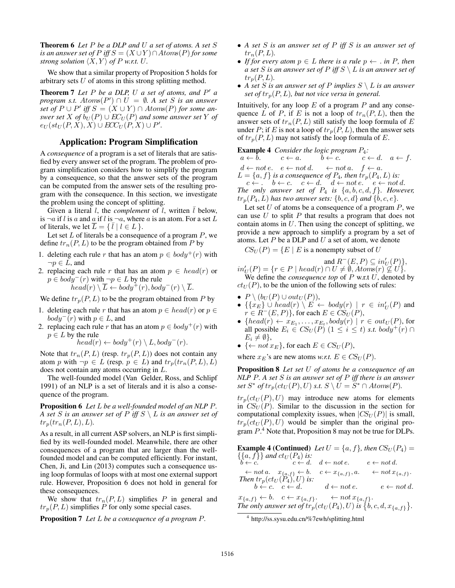Theorem 6 *Let* P *be a DLP and* U *a set of atoms. A set* S *is an answer set of*  $P$  *iff*  $S = (X \cup Y) \cap Atoms(P)$  *for some strong solution*  $\langle X, Y \rangle$  *of* P *w.r.t.* U.

We show that a similar property of Proposition 5 holds for arbitrary sets  $U$  of atoms in this strong splitting method.

Theorem 7 Let P be a DLP, U a set of atoms, and P' a  $program \, s.t. \, Atoms(P') \cap U = \emptyset. \, A \, set \, S \, is \, an \, answer$  $\int$ *set of*  $P \cup P'$  *iff*  $S = (X \cup Y) \cap Atoms(P)$  *for some answer set* X *of*  $b_U(P) \cup EC_U(P)$  *and some answer set* Y *of*  $e_U(st_U(P,X),X) \cup ECC_U(P,X) \cup P'.$ 

# Application: Program Simplification

A *consequence* of a program is a set of literals that are satisfied by every answer set of the program. The problem of program simplification considers how to simplify the program by a consequence, so that the answer sets of the program can be computed from the answer sets of the resulting program with the consequence. In this section, we investigate the problem using the concept of splitting.

Given a literal  $l$ , the *complement* of  $l$ , written  $l$  below, is  $\neg a$  if l is a and a if l is  $\neg a$ , where a is an atom. For a set L of literals, we let  $\overline{L} = \{ \overline{l} | l \in L \}.$ 

Let set  $L$  of literals be a consequence of a program  $P$ , we define  $tr_n(P, L)$  to be the program obtained from P by

- 1. deleting each rule r that has an atom  $p \in \text{body}^+(r)$  with  $\neg p \in L$ , and
- 2. replacing each rule r that has an atom  $p \in head(r)$  or  $p \in body^{-}(r)$  with  $\neg p \in L$  by the rule

$$
head(r) \setminus \overline{L} \leftarrow body^{+}(r), body^{-}(r) \setminus \overline{L}.
$$

We define  $tr_p(P, L)$  to be the program obtained from P by

- 1. deleting each rule r that has an atom  $p \in head(r)$  or  $p \in$  $body^{-}(r)$  with  $p \in L$ , and
- 2. replacing each rule r that has an atom  $p \in \text{body}^+(r)$  with  $p \in L$  by the rule

$$
head(r) \leftarrow body^{+}(r) \setminus L, body^{-}(r).
$$

Note that  $tr_n(P, L)$  (resp.  $tr_p(P, L)$ ) does not contain any atom p with  $\neg p \in L$  (resp.  $p \in L$ ) and  $tr_p(tr_n(P, L), L)$ does not contain any atoms occurring in L.

The well-founded model (Van Gelder, Ross, and Schlipf 1991) of an NLP is a set of literals and it is also a consequence of the program.

Proposition 6 *Let* L *be a well-founded model of an NLP* P*. A set* S *is an answer set of* P *iff* S \ L *is an answer set of*  $tr_p(tr_n(P, L), L)$ .

As a result, in all current ASP solvers, an NLP is first simplified by its well-founded model. Meanwhile, there are other consequences of a program that are larger than the wellfounded model and can be computed efficiently. For instant, Chen, Ji, and Lin (2013) computes such a consequence using loop formulas of loops with at most one external support rule. However, Proposition 6 does not hold in general for these consequences.

We show that  $tr_n(P, L)$  simplifies P in general and  $tr_n(P, L)$  simplifies P for only some special cases.

Proposition 7 *Let* L *be a consequence of a program* P*.*

- *A set* S *is an answer set of* P *iff* S *is an answer set of*  $tr_n(P, L)$ .
- *If for every atom*  $p \in L$  *there is a rule*  $p \leftarrow \ldots$  *in* P, *then a set* S *is an answer set of* P *iff* S \ L *is an answer set of*  $tr_p(P, L)$ .
- *A set* S *is an answer set of* P *implies* S \ L *is an answer set of*  $tr_p(P, L)$ *, but not vice versa in general.*

Intuitively, for any loop  $E$  of a program  $P$  and any consequence L of P, if E is not a loop of  $tr_n(P, L)$ , then the answer sets of  $tr_n(P, L)$  still satisfy the loop formula of E under P; if E is not a loop of  $tr_p(P, L)$ , then the answer sets of  $tr_p(P, L)$  may not satisfy the loop formula of E.

**Example 4** *Consider the logic program*  $P_4$ :<br> $a \leftarrow b$ .  $c \leftarrow a$ .  $b \leftarrow c$ .  $c \leftarrow c$ 

 $c \leftarrow d. \quad a \leftarrow f.$  $d \leftarrow not \, e. \quad e \leftarrow not \, d. \quad \leftarrow not \, a. \quad f \leftarrow a.$  $L = \{a, f\}$  *is a consequence of*  $P_4$ *, then*  $tr_p(P_4, L)$  *is:* 

 $c \leftarrow \ldots \quad b \leftarrow c. \quad c \leftarrow d. \quad d \leftarrow \textit{not} \, e. \quad e \leftarrow \textit{not} \, d.$ *The only answer set of*  $P_4$  *is*  $\{a, b, c, d, f\}$ *. However,*  $tr_p(P_4, L)$  *has two answer sets:*  $\{b, c, d\}$  *and*  $\{b, c, e\}.$ 

Let set  $U$  of atoms be a consequence of a program  $P$ , we can use  $U$  to split  $P$  that results a program that does not contain atoms in  $U$ . Then using the concept of splitting, we provide a new approach to simplify a program by a set of atoms. Let  $P$  be a DLP and  $U$  a set of atom, we denote

 $CS_U(P) = \{E \mid E \text{ is a nonempty subset of } U\}$ 

$$
in'_{U}(P) = \{r \in P \mid head(r) \cap U \neq \emptyset, Atoms(r) \nsubseteq U\},\
$$

We define the *consequence top* of P w.r.t U, denoted by  $ct<sub>U</sub>(P)$ , to be the union of the following sets of rules:

- $P \setminus (b_U(P) \cup out_U(P)),$
- $\{(x_E) \cup \text{head}(r) \setminus E' \leftarrow \text{body}(r) \mid r \in \text{in}_U'(P) \text{ and }$  $r \in R^{-}(E, P)$ , for each  $E \in CS_U(P)$ ,
- { $head(r) \leftarrow x_{E_1}, \ldots, x_{E_t}, body(r) \mid r \in out_U(P)$ , for all possible  $E_i \in \mathcal{CS}_U(P)$   $(1 \leq i \leq t)$  *s.t.* body<sup>+</sup>(r)  $\cap$  $E_i \neq \emptyset$ ,
- $\{\leftarrow not \, x_E\}$ , for each  $E \in CS_U(P)$ ,

where  $x_E$ 's are new atoms *w.r.t.*  $E \in \mathcal{CS}_U(P)$ .

Proposition 8 *Let set* U *of atoms be a consequence of an NLP* P*. A set* S *is an answer set of* P *iff there is an answer*  $set\ S^*$  of  $tr_p(ct_U(P), U)$   $s.t.$   $S \setminus U = \widetilde{S}^* \cap Atoms(P).$ 

 $tr_p(ct_U (P), U)$  may introduce new atoms for elements in  $CS_U(P)$ . Similar to the discussion in the section for computational complexity issues, when  $|CS_U(P)|$  is small,  $tr_p(ct_U (P), U)$  would be simpler than the original program  $P^4$ . Note that, Proposition 8 may not be true for DLPs.

**Example 4 (Continued)** Let  $U = \{a, f\}$ , then  $CS_U(P_4)$  $\{\{a, f\}\}$  and  $ct_U(P_4)$  is:<br>  $b \leftarrow c$ .  $c \leftarrow d$ .  $d \leftarrow not e$ .  $e \leftarrow not d$ .  $\leftarrow$  not a.  $x_{\{a,f\}} \leftarrow b$ .  $c \leftarrow x_{\{a,f\}}, a$ .  $\leftarrow not x_{\{a,f\}}$ . *Then*  $tr_p(ct_U(P_4), U)$  *is:*  $b \leftarrow c$ .  $c \leftarrow d$ .  $d \leftarrow not e$ .  $e \leftarrow not d$ .  $x_{\{a,f\}} \leftarrow b. \quad c \leftarrow x_{\{a,f\}}. \quad \leftarrow not \, x_{\{a,f\}}.$ The only answer set of  $tr_p(ct_U(P_4), U)$  is  $\{b, c, d, x_{\{a,f\}}\}.$ 

<sup>4</sup> .http://ss.sysu.edu.cn/%7ewh/splitting.html